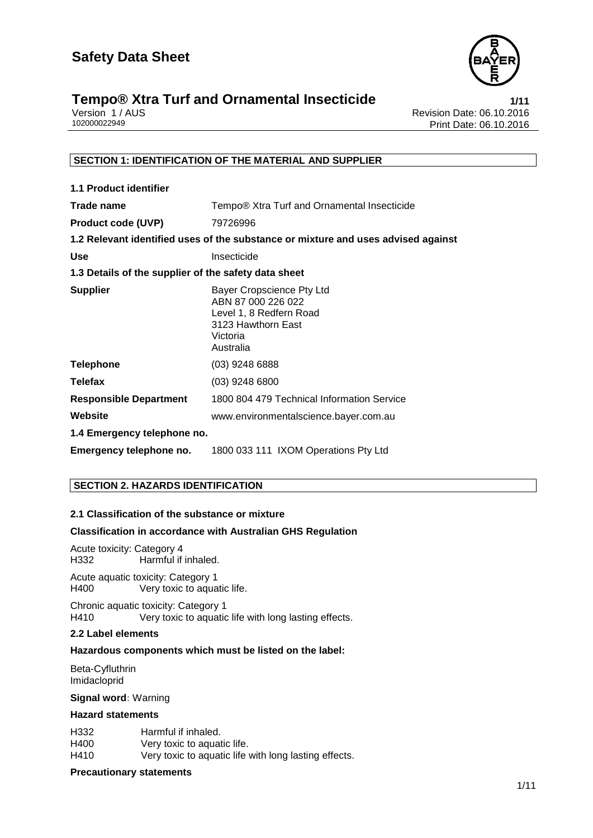

## **Tempo® Xtra Turf and Ornamental Insecticide**<br>**1/11** Version 1/AUS **10.2016** Revision Date: 06.10.2016

Version 1 / AUS<br>
102000022949<br>
Print Date: 06.10.2016 Print Date: 06.10.2016

#### **SECTION 1: IDENTIFICATION OF THE MATERIAL AND SUPPLIER**

| <b>1.1 Product identifier</b>                        |                                                                                                                           |
|------------------------------------------------------|---------------------------------------------------------------------------------------------------------------------------|
| Trade name                                           | Tempo® Xtra Turf and Ornamental Insecticide                                                                               |
| <b>Product code (UVP)</b>                            | 79726996                                                                                                                  |
|                                                      | 1.2 Relevant identified uses of the substance or mixture and uses advised against                                         |
| <b>Use</b>                                           | Insecticide                                                                                                               |
| 1.3 Details of the supplier of the safety data sheet |                                                                                                                           |
| <b>Supplier</b>                                      | Bayer Cropscience Pty Ltd<br>ABN 87 000 226 022<br>Level 1, 8 Redfern Road<br>3123 Hawthorn East<br>Victoria<br>Australia |
| <b>Telephone</b>                                     | $(03)$ 9248 6888                                                                                                          |
| <b>Telefax</b>                                       | $(03)$ 9248 6800                                                                                                          |
| <b>Responsible Department</b>                        | 1800 804 479 Technical Information Service                                                                                |
| Website                                              | www.environmentalscience.bayer.com.au                                                                                     |
| 1.4 Emergency telephone no.                          |                                                                                                                           |
| Emergency telephone no.                              | 1800 033 111 IXOM Operations Pty Ltd                                                                                      |

#### **SECTION 2. HAZARDS IDENTIFICATION**

#### **2.1 Classification of the substance or mixture**

#### **Classification in accordance with Australian GHS Regulation**

Acute toxicity: Category 4<br>H332 Harmful if Harmful if inhaled.

Acute aquatic toxicity: Category 1 H400 Very toxic to aquatic life.

Chronic aquatic toxicity: Category 1 H410 Very toxic to aquatic life with long lasting effects.

#### **2.2 Label elements**

#### **Hazardous components which must be listed on the label:**

 Beta-Cyfluthrin Imidacloprid

**Signal word:** Warning

#### **Hazard statements**

| H332 | Harmful if inhaled.                                   |
|------|-------------------------------------------------------|
| H400 | Very toxic to aquatic life.                           |
| H410 | Very toxic to aquatic life with long lasting effects. |

#### **Precautionary statements**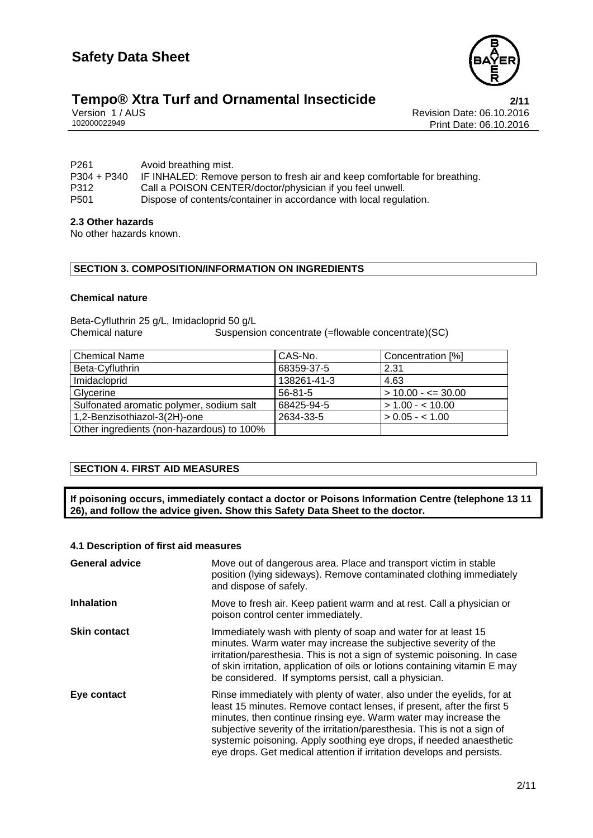

# **Tempo® Xtra Turf and Ornamental Insecticide**<br>
Version 1/AUS **Presion 1/AUS**

Version 1 / AUS<br>
102000022949<br>
Print Date: 06.10.2016 Print Date: 06.10.2016

| P <sub>261</sub><br>$P304 + P340$ | Avoid breathing mist.<br>IF INHALED: Remove person to fresh air and keep comfortable for breathing. |
|-----------------------------------|-----------------------------------------------------------------------------------------------------|
| P312                              | Call a POISON CENTER/doctor/physician if you feel unwell.                                           |
| P <sub>501</sub>                  | Dispose of contents/container in accordance with local regulation.                                  |

#### **2.3 Other hazards**

No other hazards known.

#### **SECTION 3. COMPOSITION/INFORMATION ON INGREDIENTS**

#### **Chemical nature**

Beta-Cyfluthrin 25 g/L, Imidacloprid 50 g/L<br>Chemical nature Suspensid Suspension concentrate (=flowable concentrate)(SC)

| <b>Chemical Name</b>                      | CAS-No.       | Concentration [%]      |
|-------------------------------------------|---------------|------------------------|
| Beta-Cyfluthrin                           | 68359-37-5    | 2.31                   |
| Imidacloprid                              | 138261-41-3   | 4.63                   |
| Glycerine                                 | $56 - 81 - 5$ | $> 10.00 - \leq 30.00$ |
| Sulfonated aromatic polymer, sodium salt  | 68425-94-5    | $> 1.00 - 10.00$       |
| 1,2-Benzisothiazol-3(2H)-one              | 2634-33-5     | $> 0.05 - < 1.00$      |
| Other ingredients (non-hazardous) to 100% |               |                        |

#### **SECTION 4. FIRST AID MEASURES**

**If poisoning occurs, immediately contact a doctor or Poisons Information Centre (telephone 13 11 26), and follow the advice given. Show this Safety Data Sheet to the doctor.**

#### **4.1 Description of first aid measures**

| <b>General advice</b> | Move out of dangerous area. Place and transport victim in stable<br>position (lying sideways). Remove contaminated clothing immediately<br>and dispose of safely.                                                                                                                                                                                                                                                                               |  |
|-----------------------|-------------------------------------------------------------------------------------------------------------------------------------------------------------------------------------------------------------------------------------------------------------------------------------------------------------------------------------------------------------------------------------------------------------------------------------------------|--|
| <b>Inhalation</b>     | Move to fresh air. Keep patient warm and at rest. Call a physician or<br>poison control center immediately.                                                                                                                                                                                                                                                                                                                                     |  |
| <b>Skin contact</b>   | Immediately wash with plenty of soap and water for at least 15<br>minutes. Warm water may increase the subjective severity of the<br>irritation/paresthesia. This is not a sign of systemic poisoning. In case<br>of skin irritation, application of oils or lotions containing vitamin E may<br>be considered. If symptoms persist, call a physician.                                                                                          |  |
| Eye contact           | Rinse immediately with plenty of water, also under the eyelids, for at<br>least 15 minutes. Remove contact lenses, if present, after the first 5<br>minutes, then continue rinsing eye. Warm water may increase the<br>subjective severity of the irritation/paresthesia. This is not a sign of<br>systemic poisoning. Apply soothing eye drops, if needed anaesthetic<br>eye drops. Get medical attention if irritation develops and persists. |  |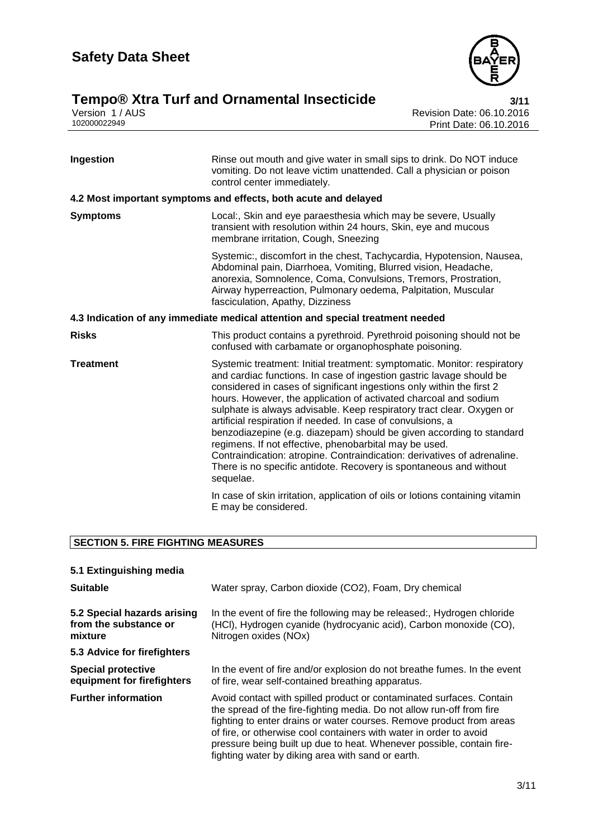

## **Tempo® Xtra Turf and Ornamental Insecticide 3/11**

Version 1 / AUS Revision Date: 06.10.2016 102000022949 Print Date: 06.10.2016

| Ingestion        | Rinse out mouth and give water in small sips to drink. Do NOT induce<br>vomiting. Do not leave victim unattended. Call a physician or poison<br>control center immediately.                                                                                                                                                                                                                                                                                                                                                                                                                                                                                                                                                            |  |
|------------------|----------------------------------------------------------------------------------------------------------------------------------------------------------------------------------------------------------------------------------------------------------------------------------------------------------------------------------------------------------------------------------------------------------------------------------------------------------------------------------------------------------------------------------------------------------------------------------------------------------------------------------------------------------------------------------------------------------------------------------------|--|
|                  | 4.2 Most important symptoms and effects, both acute and delayed                                                                                                                                                                                                                                                                                                                                                                                                                                                                                                                                                                                                                                                                        |  |
| <b>Symptoms</b>  | Local:, Skin and eye paraesthesia which may be severe, Usually<br>transient with resolution within 24 hours, Skin, eye and mucous<br>membrane irritation, Cough, Sneezing                                                                                                                                                                                                                                                                                                                                                                                                                                                                                                                                                              |  |
|                  | Systemic:, discomfort in the chest, Tachycardia, Hypotension, Nausea,<br>Abdominal pain, Diarrhoea, Vomiting, Blurred vision, Headache,<br>anorexia, Somnolence, Coma, Convulsions, Tremors, Prostration,<br>Airway hyperreaction, Pulmonary oedema, Palpitation, Muscular<br>fasciculation, Apathy, Dizziness                                                                                                                                                                                                                                                                                                                                                                                                                         |  |
|                  | 4.3 Indication of any immediate medical attention and special treatment needed                                                                                                                                                                                                                                                                                                                                                                                                                                                                                                                                                                                                                                                         |  |
| <b>Risks</b>     | This product contains a pyrethroid. Pyrethroid poisoning should not be<br>confused with carbamate or organophosphate poisoning.                                                                                                                                                                                                                                                                                                                                                                                                                                                                                                                                                                                                        |  |
| <b>Treatment</b> | Systemic treatment: Initial treatment: symptomatic. Monitor: respiratory<br>and cardiac functions. In case of ingestion gastric lavage should be<br>considered in cases of significant ingestions only within the first 2<br>hours. However, the application of activated charcoal and sodium<br>sulphate is always advisable. Keep respiratory tract clear. Oxygen or<br>artificial respiration if needed. In case of convulsions, a<br>benzodiazepine (e.g. diazepam) should be given according to standard<br>regimens. If not effective, phenobarbital may be used.<br>Contraindication: atropine. Contraindication: derivatives of adrenaline.<br>There is no specific antidote. Recovery is spontaneous and without<br>sequelae. |  |
|                  | In case of skin irritation, application of oils or lotions containing vitamin<br>E may be considered.                                                                                                                                                                                                                                                                                                                                                                                                                                                                                                                                                                                                                                  |  |

### **SECTION 5. FIRE FIGHTING MEASURES**

|  | 5.1 Extinguishing media |  |
|--|-------------------------|--|
|  |                         |  |

| <b>Suitable</b>                                                 | Water spray, Carbon dioxide (CO2), Foam, Dry chemical                                                                                                                                                                                                                                                                                                                                                                     |  |  |
|-----------------------------------------------------------------|---------------------------------------------------------------------------------------------------------------------------------------------------------------------------------------------------------------------------------------------------------------------------------------------------------------------------------------------------------------------------------------------------------------------------|--|--|
| 5.2 Special hazards arising<br>from the substance or<br>mixture | In the event of fire the following may be released:, Hydrogen chloride<br>(HCI), Hydrogen cyanide (hydrocyanic acid), Carbon monoxide (CO),<br>Nitrogen oxides (NOx)                                                                                                                                                                                                                                                      |  |  |
| 5.3 Advice for firefighters                                     |                                                                                                                                                                                                                                                                                                                                                                                                                           |  |  |
| <b>Special protective</b><br>equipment for firefighters         | In the event of fire and/or explosion do not breathe fumes. In the event<br>of fire, wear self-contained breathing apparatus.                                                                                                                                                                                                                                                                                             |  |  |
| <b>Further information</b>                                      | Avoid contact with spilled product or contaminated surfaces. Contain<br>the spread of the fire-fighting media. Do not allow run-off from fire<br>fighting to enter drains or water courses. Remove product from areas<br>of fire, or otherwise cool containers with water in order to avoid<br>pressure being built up due to heat. Whenever possible, contain fire-<br>fighting water by diking area with sand or earth. |  |  |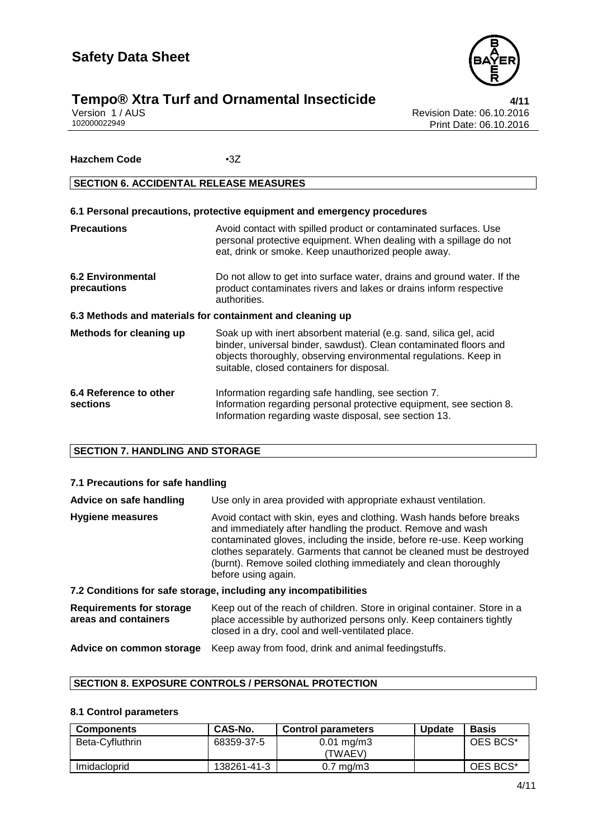

# **Tempo® Xtra Turf and Ornamental Insecticide**<br>Version 1/AUS<br>102000022949 Print Date: 06.10.2016

Revision Date: 06.10.2016 Print Date: 06.10.2016

#### **Hazchem Code** •3Z

#### **SECTION 6. ACCIDENTAL RELEASE MEASURES**

| 6.1 Personal precautions, protective equipment and emergency procedures |                                                                                                                                                                                                                                                          |  |  |
|-------------------------------------------------------------------------|----------------------------------------------------------------------------------------------------------------------------------------------------------------------------------------------------------------------------------------------------------|--|--|
| <b>Precautions</b>                                                      | Avoid contact with spilled product or contaminated surfaces. Use<br>personal protective equipment. When dealing with a spillage do not<br>eat, drink or smoke. Keep unauthorized people away.                                                            |  |  |
| <b>6.2 Environmental</b><br>precautions                                 | Do not allow to get into surface water, drains and ground water. If the<br>product contaminates rivers and lakes or drains inform respective<br>authorities.                                                                                             |  |  |
| 6.3 Methods and materials for containment and cleaning up               |                                                                                                                                                                                                                                                          |  |  |
| <b>Methods for cleaning up</b>                                          | Soak up with inert absorbent material (e.g. sand, silica gel, acid<br>binder, universal binder, sawdust). Clean contaminated floors and<br>objects thoroughly, observing environmental regulations. Keep in<br>suitable, closed containers for disposal. |  |  |
| 6.4 Reference to other<br>sections                                      | Information regarding safe handling, see section 7.<br>Information regarding personal protective equipment, see section 8.<br>Information regarding waste disposal, see section 13.                                                                      |  |  |

#### **SECTION 7. HANDLING AND STORAGE**

#### **7.1 Precautions for safe handling**

| Advice on safe handling                                 | Use only in area provided with appropriate exhaust ventilation.                                                                                                                                                                                                                                                                                                                   |  |
|---------------------------------------------------------|-----------------------------------------------------------------------------------------------------------------------------------------------------------------------------------------------------------------------------------------------------------------------------------------------------------------------------------------------------------------------------------|--|
| <b>Hygiene measures</b>                                 | Avoid contact with skin, eyes and clothing. Wash hands before breaks<br>and immediately after handling the product. Remove and wash<br>contaminated gloves, including the inside, before re-use. Keep working<br>clothes separately. Garments that cannot be cleaned must be destroyed<br>(burnt). Remove soiled clothing immediately and clean thoroughly<br>before using again. |  |
|                                                         | 7.2 Conditions for safe storage, including any incompatibilities                                                                                                                                                                                                                                                                                                                  |  |
| <b>Requirements for storage</b><br>areas and containers | Keep out of the reach of children. Store in original container. Store in a<br>place accessible by authorized persons only. Keep containers tightly<br>closed in a dry, cool and well-ventilated place.                                                                                                                                                                            |  |
| Advice on common storage                                | Keep away from food, drink and animal feedingstuffs.                                                                                                                                                                                                                                                                                                                              |  |

### **SECTION 8. EXPOSURE CONTROLS / PERSONAL PROTECTION**

#### **8.1 Control parameters**

| <b>Components</b> | <b>CAS-No.</b> | <b>Control parameters</b>        | <b>Update</b> | <b>Basis</b> |
|-------------------|----------------|----------------------------------|---------------|--------------|
| Beta-Cyfluthrin   | 68359-37-5     | $0.01 \text{ mg/m}$ 3<br>(TWAEV) |               | OES BCS*     |
| Imidacloprid      | 138261-41-3    | $0.7 \text{ mg/m}$ 3             |               | OES BCS*     |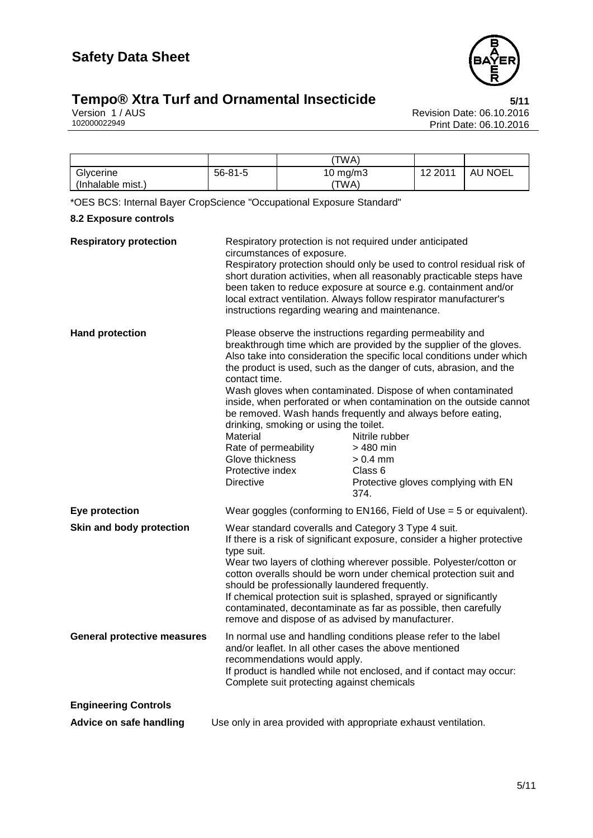

## **Tempo®** Xtra Turf and Ornamental Insecticide **1988** 5/11

Version 1 / AUS Revision Date: 06.10.2016 102000022949 Print Date: 06.10.2016

|                   |               | 'TWA)      |         |         |
|-------------------|---------------|------------|---------|---------|
| Glycerine         | $56 - 81 - 5$ | 10 $mg/m3$ | 12 2011 | AU NOEL |
| (Inhalable mist.) |               | 'TWA)      |         |         |

\*OES BCS: Internal Bayer CropScience "Occupational Exposure Standard"

#### **8.2 Exposure controls**

| <b>Respiratory protection</b>      | Respiratory protection is not required under anticipated<br>circumstances of exposure.                                                                                   |                                                                                                                                                                                                                                                                                                                                                                                                                                                                                                                                                                                               |
|------------------------------------|--------------------------------------------------------------------------------------------------------------------------------------------------------------------------|-----------------------------------------------------------------------------------------------------------------------------------------------------------------------------------------------------------------------------------------------------------------------------------------------------------------------------------------------------------------------------------------------------------------------------------------------------------------------------------------------------------------------------------------------------------------------------------------------|
|                                    | instructions regarding wearing and maintenance.                                                                                                                          | Respiratory protection should only be used to control residual risk of<br>short duration activities, when all reasonably practicable steps have<br>been taken to reduce exposure at source e.g. containment and/or<br>local extract ventilation. Always follow respirator manufacturer's                                                                                                                                                                                                                                                                                                      |
| <b>Hand protection</b>             | contact time.<br>drinking, smoking or using the toilet.<br>Material<br>Rate of permeability<br>Glove thickness<br>Protective index<br><b>Directive</b>                   | Please observe the instructions regarding permeability and<br>breakthrough time which are provided by the supplier of the gloves.<br>Also take into consideration the specific local conditions under which<br>the product is used, such as the danger of cuts, abrasion, and the<br>Wash gloves when contaminated. Dispose of when contaminated<br>inside, when perforated or when contamination on the outside cannot<br>be removed. Wash hands frequently and always before eating,<br>Nitrile rubber<br>> 480 min<br>$> 0.4$ mm<br>Class 6<br>Protective gloves complying with EN<br>374. |
| Eye protection                     |                                                                                                                                                                          | Wear goggles (conforming to EN166, Field of Use = 5 or equivalent).                                                                                                                                                                                                                                                                                                                                                                                                                                                                                                                           |
| Skin and body protection           | Wear standard coveralls and Category 3 Type 4 suit.<br>type suit.<br>should be professionally laundered frequently.<br>remove and dispose of as advised by manufacturer. | If there is a risk of significant exposure, consider a higher protective<br>Wear two layers of clothing wherever possible. Polyester/cotton or<br>cotton overalls should be worn under chemical protection suit and<br>If chemical protection suit is splashed, sprayed or significantly<br>contaminated, decontaminate as far as possible, then carefully                                                                                                                                                                                                                                    |
| <b>General protective measures</b> | and/or leaflet. In all other cases the above mentioned<br>recommendations would apply.<br>Complete suit protecting against chemicals                                     | In normal use and handling conditions please refer to the label<br>If product is handled while not enclosed, and if contact may occur:                                                                                                                                                                                                                                                                                                                                                                                                                                                        |
| <b>Engineering Controls</b>        |                                                                                                                                                                          |                                                                                                                                                                                                                                                                                                                                                                                                                                                                                                                                                                                               |
| Advice on safe handling            |                                                                                                                                                                          | Use only in area provided with appropriate exhaust ventilation.                                                                                                                                                                                                                                                                                                                                                                                                                                                                                                                               |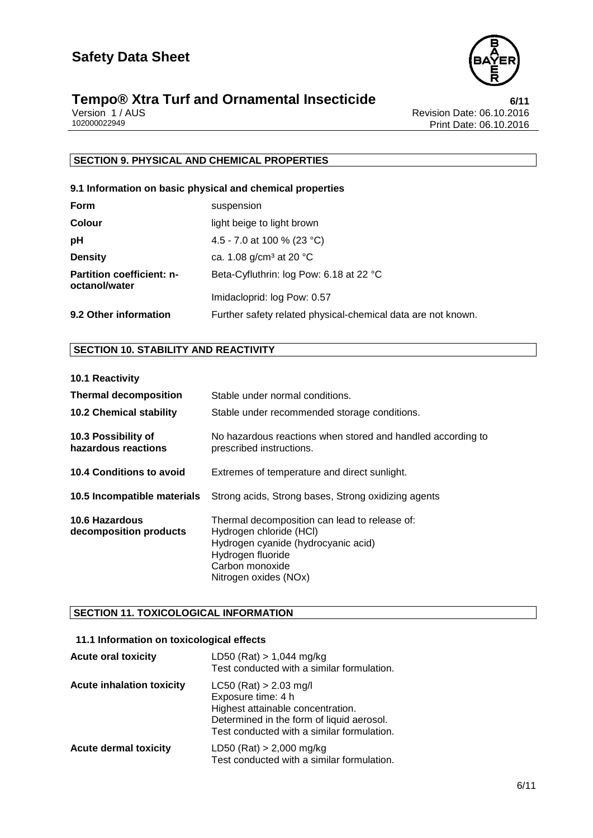

# **Tempo® Xtra Turf and Ornamental Insecticide**<br>Version 1/AUS<br><sup>102000022949</sup> Print Date: 06.10.2016

Revision Date: 06.10.2016 Print Date: 06.10.2016

#### **SECTION 9. PHYSICAL AND CHEMICAL PROPERTIES**

#### **9.1 Information on basic physical and chemical properties**

| <b>Form</b>                                       | suspension                                                   |
|---------------------------------------------------|--------------------------------------------------------------|
| <b>Colour</b>                                     | light beige to light brown                                   |
| рH                                                | 4.5 - 7.0 at 100 % (23 °C)                                   |
| <b>Density</b>                                    | ca. 1.08 $g/cm^3$ at 20 °C                                   |
| <b>Partition coefficient: n-</b><br>octanol/water | Beta-Cyfluthrin: log Pow: 6.18 at 22 °C                      |
|                                                   | Imidacloprid: log Pow: 0.57                                  |
| 9.2 Other information                             | Further safety related physical-chemical data are not known. |

#### **SECTION 10. STABILITY AND REACTIVITY**

**10.1 Reactivity**

| <b>Thermal decomposition</b>                    | Stable under normal conditions.                                                                                                                                                  |
|-------------------------------------------------|----------------------------------------------------------------------------------------------------------------------------------------------------------------------------------|
| <b>10.2 Chemical stability</b>                  | Stable under recommended storage conditions.                                                                                                                                     |
| 10.3 Possibility of<br>hazardous reactions      | No hazardous reactions when stored and handled according to<br>prescribed instructions.                                                                                          |
| <b>10.4 Conditions to avoid</b>                 | Extremes of temperature and direct sunlight.                                                                                                                                     |
| 10.5 Incompatible materials                     | Strong acids, Strong bases, Strong oxidizing agents                                                                                                                              |
| <b>10.6 Hazardous</b><br>decomposition products | Thermal decomposition can lead to release of:<br>Hydrogen chloride (HCI)<br>Hydrogen cyanide (hydrocyanic acid)<br>Hydrogen fluoride<br>Carbon monoxide<br>Nitrogen oxides (NOx) |

#### **SECTION 11. TOXICOLOGICAL INFORMATION**

#### **11.1 Information on toxicological effects**

| <b>Acute oral toxicity</b>       | LD50 (Rat) $> 1,044$ mg/kg<br>Test conducted with a similar formulation.                                                                                                       |
|----------------------------------|--------------------------------------------------------------------------------------------------------------------------------------------------------------------------------|
| <b>Acute inhalation toxicity</b> | $LC50$ (Rat) > 2.03 mg/l<br>Exposure time: 4 h<br>Highest attainable concentration.<br>Determined in the form of liquid aerosol.<br>Test conducted with a similar formulation. |
| <b>Acute dermal toxicity</b>     | LD50 (Rat) $> 2,000$ mg/kg<br>Test conducted with a similar formulation.                                                                                                       |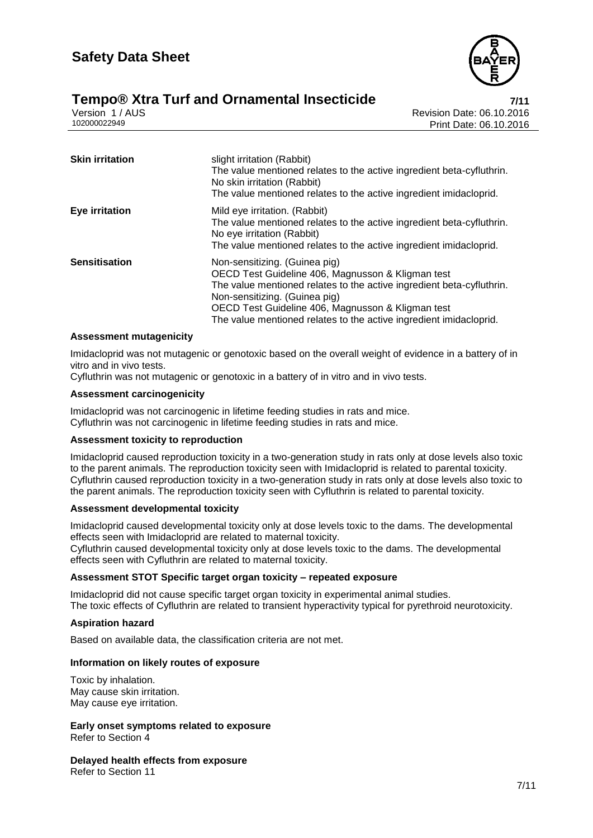



Version 1 / AUS<br>102000022949<br>Revision Date: 06.10.2016 Print Date: 06.10.2016

| <b>Skin irritation</b> | slight irritation (Rabbit)<br>The value mentioned relates to the active ingredient beta-cyfluthrin.<br>No skin irritation (Rabbit)<br>The value mentioned relates to the active ingredient imidacloprid.                                                                                                                |
|------------------------|-------------------------------------------------------------------------------------------------------------------------------------------------------------------------------------------------------------------------------------------------------------------------------------------------------------------------|
| <b>Eye irritation</b>  | Mild eye irritation. (Rabbit)<br>The value mentioned relates to the active ingredient beta-cyfluthrin.<br>No eye irritation (Rabbit)<br>The value mentioned relates to the active ingredient imidacloprid.                                                                                                              |
| <b>Sensitisation</b>   | Non-sensitizing. (Guinea pig)<br>OECD Test Guideline 406, Magnusson & Kligman test<br>The value mentioned relates to the active ingredient beta-cyfluthrin.<br>Non-sensitizing. (Guinea pig)<br>OECD Test Guideline 406, Magnusson & Kligman test<br>The value mentioned relates to the active ingredient imidacloprid. |

#### **Assessment mutagenicity**

Imidacloprid was not mutagenic or genotoxic based on the overall weight of evidence in a battery of in vitro and in vivo tests.

Cyfluthrin was not mutagenic or genotoxic in a battery of in vitro and in vivo tests.

#### **Assessment carcinogenicity**

Imidacloprid was not carcinogenic in lifetime feeding studies in rats and mice. Cyfluthrin was not carcinogenic in lifetime feeding studies in rats and mice.

#### **Assessment toxicity to reproduction**

Imidacloprid caused reproduction toxicity in a two-generation study in rats only at dose levels also toxic to the parent animals. The reproduction toxicity seen with Imidacloprid is related to parental toxicity. Cyfluthrin caused reproduction toxicity in a two-generation study in rats only at dose levels also toxic to the parent animals. The reproduction toxicity seen with Cyfluthrin is related to parental toxicity.

#### **Assessment developmental toxicity**

Imidacloprid caused developmental toxicity only at dose levels toxic to the dams. The developmental effects seen with Imidacloprid are related to maternal toxicity.

Cyfluthrin caused developmental toxicity only at dose levels toxic to the dams. The developmental effects seen with Cyfluthrin are related to maternal toxicity.

#### **Assessment STOT Specific target organ toxicity – repeated exposure**

Imidacloprid did not cause specific target organ toxicity in experimental animal studies. The toxic effects of Cyfluthrin are related to transient hyperactivity typical for pyrethroid neurotoxicity.

#### **Aspiration hazard**

Based on available data, the classification criteria are not met.

#### **Information on likely routes of exposure**

Toxic by inhalation. May cause skin irritation. May cause eye irritation.

**Early onset symptoms related to exposure** Refer to Section 4

**Delayed health effects from exposure** Refer to Section 11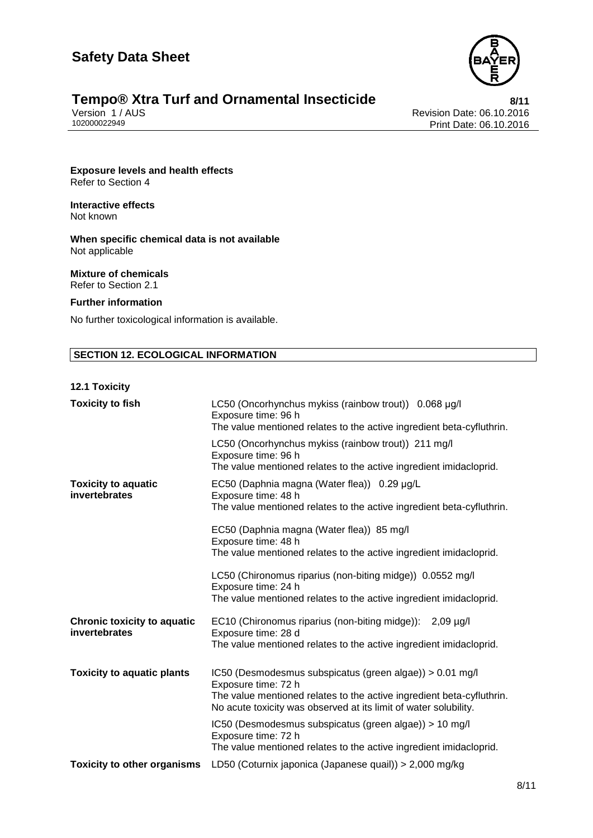

# **Tempo® Xtra Turf and Ornamental Insecticide**<br>Version 1/AUS<br>102000022949 Print Date: 06.10.2016

Revision Date: 06.10.2016 Print Date: 06.10.2016

**Exposure levels and health effects** Refer to Section 4

**Interactive effects** Not known

**When specific chemical data is not available** Not applicable

**Mixture of chemicals** Refer to Section 2.1

#### **Further information**

No further toxicological information is available.

#### **SECTION 12. ECOLOGICAL INFORMATION**

#### **12.1 Toxicity**

| <b>Toxicity to fish</b>                             | LC50 (Oncorhynchus mykiss (rainbow trout)) 0.068 µg/l<br>Exposure time: 96 h                                                                                                                                                 |
|-----------------------------------------------------|------------------------------------------------------------------------------------------------------------------------------------------------------------------------------------------------------------------------------|
|                                                     | The value mentioned relates to the active ingredient beta-cyfluthrin.                                                                                                                                                        |
|                                                     | LC50 (Oncorhynchus mykiss (rainbow trout)) 211 mg/l<br>Exposure time: 96 h<br>The value mentioned relates to the active ingredient imidacloprid.                                                                             |
| <b>Toxicity to aquatic</b><br>invertebrates         | EC50 (Daphnia magna (Water flea)) 0.29 µg/L<br>Exposure time: 48 h<br>The value mentioned relates to the active ingredient beta-cyfluthrin.                                                                                  |
|                                                     | EC50 (Daphnia magna (Water flea)) 85 mg/l<br>Exposure time: 48 h<br>The value mentioned relates to the active ingredient imidacloprid.                                                                                       |
|                                                     | LC50 (Chironomus riparius (non-biting midge)) 0.0552 mg/l<br>Exposure time: 24 h<br>The value mentioned relates to the active ingredient imidacloprid.                                                                       |
| <b>Chronic toxicity to aquatic</b><br>invertebrates | EC10 (Chironomus riparius (non-biting midge)): 2,09 µg/l<br>Exposure time: 28 d<br>The value mentioned relates to the active ingredient imidacloprid.                                                                        |
| <b>Toxicity to aquatic plants</b>                   | IC50 (Desmodesmus subspicatus (green algae)) > 0.01 mg/l<br>Exposure time: 72 h<br>The value mentioned relates to the active ingredient beta-cyfluthrin.<br>No acute toxicity was observed at its limit of water solubility. |
|                                                     | IC50 (Desmodesmus subspicatus (green algae)) > 10 mg/l<br>Exposure time: 72 h<br>The value mentioned relates to the active ingredient imidacloprid.                                                                          |
| <b>Toxicity to other organisms</b>                  | LD50 (Coturnix japonica (Japanese quail)) > 2,000 mg/kg                                                                                                                                                                      |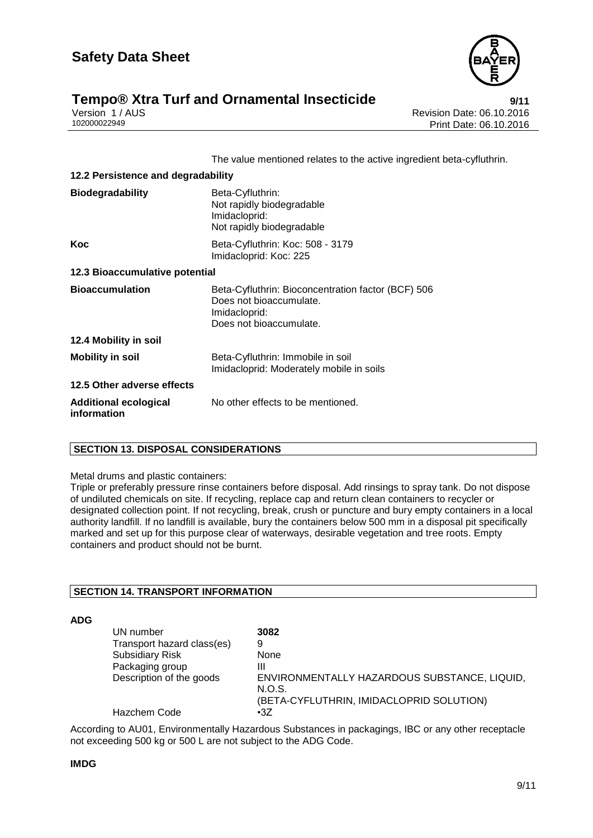

## **Tempo® Xtra Turf and Ornamental Insecticide**<br>**Pericide Revision Date: 06.10.2016**<br>Revision Date: 06.10.2016

Version 1 / AUS<br>102000022949<br>Print Date: 06.10.2016 Print Date: 06.10.2016

The value mentioned relates to the active ingredient beta-cyfluthrin.

| 12.2 Persistence and degradability          |                                                                                                                           |  |
|---------------------------------------------|---------------------------------------------------------------------------------------------------------------------------|--|
| <b>Biodegradability</b>                     | Beta-Cyfluthrin:<br>Not rapidly biodegradable<br>Imidacloprid:<br>Not rapidly biodegradable                               |  |
| Koc                                         | Beta-Cyfluthrin: Koc: 508 - 3179<br>Imidacloprid: Koc: 225                                                                |  |
| 12.3 Bioaccumulative potential              |                                                                                                                           |  |
| <b>Bioaccumulation</b>                      | Beta-Cyfluthrin: Bioconcentration factor (BCF) 506<br>Does not bioaccumulate.<br>Imidacloprid:<br>Does not bioaccumulate. |  |
| 12.4 Mobility in soil                       |                                                                                                                           |  |
| <b>Mobility in soil</b>                     | Beta-Cyfluthrin: Immobile in soil<br>Imidacloprid: Moderately mobile in soils                                             |  |
| 12.5 Other adverse effects                  |                                                                                                                           |  |
| <b>Additional ecological</b><br>information | No other effects to be mentioned.                                                                                         |  |

#### **SECTION 13. DISPOSAL CONSIDERATIONS**

#### Metal drums and plastic containers:

Triple or preferably pressure rinse containers before disposal. Add rinsings to spray tank. Do not dispose of undiluted chemicals on site. If recycling, replace cap and return clean containers to recycler or designated collection point. If not recycling, break, crush or puncture and bury empty containers in a local authority landfill. If no landfill is available, bury the containers below 500 mm in a disposal pit specifically marked and set up for this purpose clear of waterways, desirable vegetation and tree roots. Empty containers and product should not be burnt.

#### **SECTION 14. TRANSPORT INFORMATION**

#### **ADG**

| UN number                  | 3082                                                   |
|----------------------------|--------------------------------------------------------|
| Transport hazard class(es) | 9                                                      |
| <b>Subsidiary Risk</b>     | None                                                   |
| Packaging group            | Ш                                                      |
| Description of the goods   | ENVIRONMENTALLY HAZARDOUS SUBSTANCE, LIQUID,<br>N.O.S. |
|                            | (BETA-CYFLUTHRIN, IMIDACLOPRID SOLUTION)               |
| Hazchem Code               | $\cdot 37$                                             |

According to AU01, Environmentally Hazardous Substances in packagings, IBC or any other receptacle not exceeding 500 kg or 500 L are not subject to the ADG Code.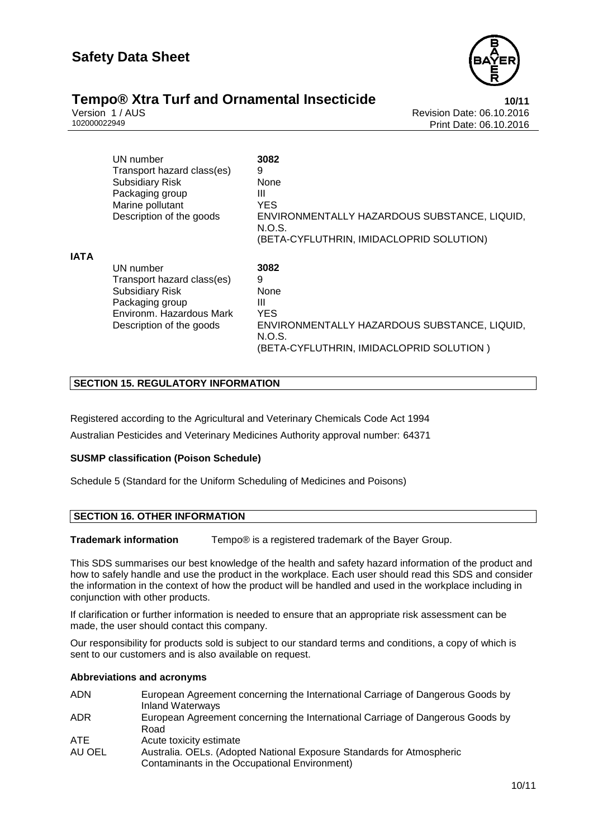

# **Tempo® Xtra Turf and Ornamental Insecticide**<br>10/11 Version 1/AUS<br>Revision Date: 06.10.2016

Version 1 / AUS<br>102000022949<br>Print Date: 06.10.2016 Print Date: 06.10.2016

|             | UN number<br>Transport hazard class(es)<br><b>Subsidiary Risk</b><br>Packaging group<br>Marine pollutant<br>Description of the goods         | 3082<br>9<br>None<br>Ш<br><b>YES</b><br>ENVIRONMENTALLY HAZARDOUS SUBSTANCE, LIQUID,<br>N.O.S.<br>(BETA-CYFLUTHRIN, IMIDACLOPRID SOLUTION) |
|-------------|----------------------------------------------------------------------------------------------------------------------------------------------|--------------------------------------------------------------------------------------------------------------------------------------------|
| <b>IATA</b> | UN number<br>Transport hazard class(es)<br><b>Subsidiary Risk</b><br>Packaging group<br>Environm, Hazardous Mark<br>Description of the goods | 3082<br>9<br>None<br>Ш<br><b>YES</b><br>ENVIRONMENTALLY HAZARDOUS SUBSTANCE, LIQUID,<br>N.O.S.<br>(BETA-CYFLUTHRIN, IMIDACLOPRID SOLUTION) |

#### **SECTION 15. REGULATORY INFORMATION**

Registered according to the Agricultural and Veterinary Chemicals Code Act 1994 Australian Pesticides and Veterinary Medicines Authority approval number: 64371

#### **SUSMP classification (Poison Schedule)**

Schedule 5 (Standard for the Uniform Scheduling of Medicines and Poisons)

#### **SECTION 16. OTHER INFORMATION**

**Trademark information** Tempo® is a registered trademark of the Bayer Group.

This SDS summarises our best knowledge of the health and safety hazard information of the product and how to safely handle and use the product in the workplace. Each user should read this SDS and consider the information in the context of how the product will be handled and used in the workplace including in conjunction with other products.

If clarification or further information is needed to ensure that an appropriate risk assessment can be made, the user should contact this company.

Our responsibility for products sold is subject to our standard terms and conditions, a copy of which is sent to our customers and is also available on request.

#### **Abbreviations and acronyms**

| ADN    | European Agreement concerning the International Carriage of Dangerous Goods by |
|--------|--------------------------------------------------------------------------------|
|        | <b>Inland Waterways</b>                                                        |
| ADR    | European Agreement concerning the International Carriage of Dangerous Goods by |
|        | Road                                                                           |
| ATE    | Acute toxicity estimate                                                        |
| AU OEL | Australia. OELs. (Adopted National Exposure Standards for Atmospheric          |
|        | Contaminants in the Occupational Environment)                                  |